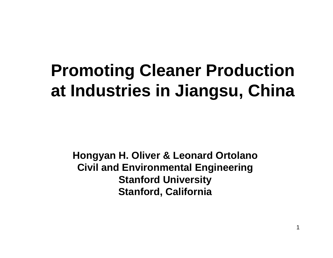## **Promoting Cleaner Production at Industries in Jiangsu, China**

**Hongyan H. Oliver & Leonard Ortolano Civil and Environmental Engineering Stanford University Stanford, California**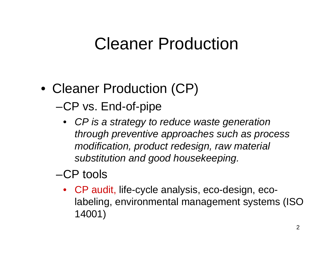#### Cleaner Production

- Cleaner Production (CP) –-CP vs. End-of-pipe
	- *CP is a strategy to reduce waste generation through preventive approaches such as process modification, product redesign, raw material substitution and good housekeeping.*

#### –CP tools

• CP audit, life-cycle analysis, eco-design, ecolabeling, environmental management systems (ISO 14001)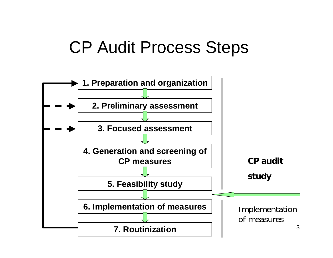#### CP Audit Process Steps

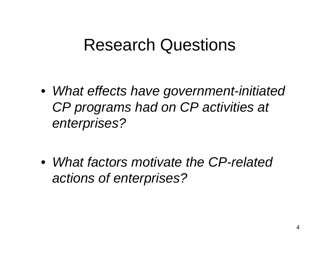#### Research Questions

• *What effects have government-initiated CP programs had on CP activities at enterprises?*

• *What factors motivate the CP-related actions of enterprises?*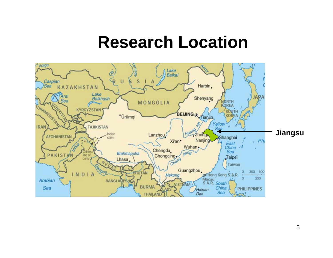#### **Research Location**

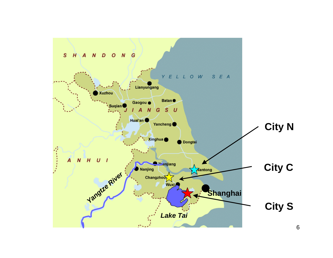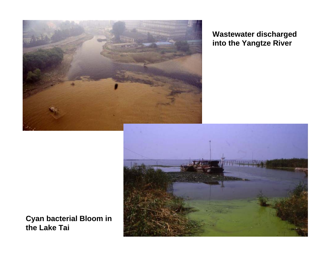

**Wastewater discharged into the Yangtze River**



**Cyan bacterial Bloom in the Lake Tai**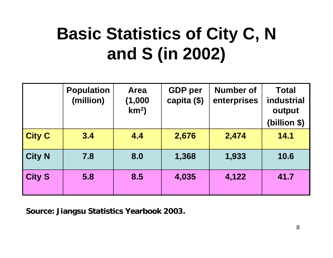# **Basic Statistics of City C, N and S (in 2002)**

|               | <b>Population</b><br>(million) | <b>Area</b><br>(1,000)<br>km <sup>2</sup> | <b>GDP</b> per<br>capita (\$) | <b>Number of</b><br>enterprises | <b>Total</b><br>industrial<br>output<br>(billion \$) |
|---------------|--------------------------------|-------------------------------------------|-------------------------------|---------------------------------|------------------------------------------------------|
| <b>City C</b> | 3.4                            | 4.4                                       | 2,676                         | 2,474                           | 14.1                                                 |
| <b>City N</b> | 7.8                            | 8.0                                       | 1,368                         | 1,933                           | 10.6                                                 |
| <b>City S</b> | 5.8                            | 8.5                                       | 4,035                         | 4,122                           | 41.7                                                 |

**Source: Jiangsu Statistics Yearbook 2003.**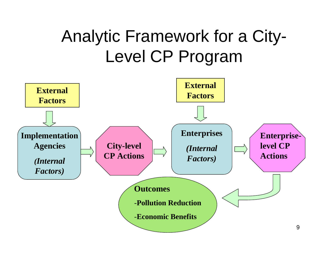## Analytic Framework for a City-Level CP Program

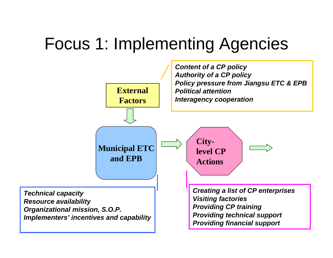#### Focus 1: Implementing Agencies

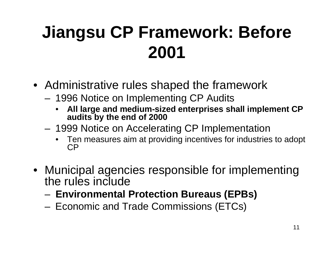# **Jiangsu CP Framework: Before 2001**

- Administrative rules shaped the framework
	- 1996 Notice on Implementing CP Audits
		- • **All large and medium-sized enterprises shall implement CP audits by the end of 2000**
	- – 1999 Notice on Accelerating CP Implementation
		- •Ten measures aim at providing incentives for industries to adopt CP
- Municipal agencies responsible for implementing the rules include
	- **Environmental Protection Bureaus (EPBs)**
	- Economic and Trade Commissions (ETCs)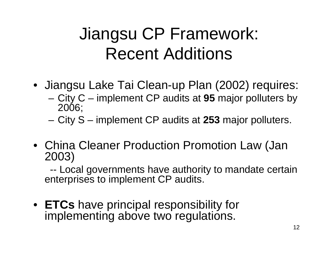## Jiangsu CP Framework: Recent Additions

- Jiangsu Lake Tai Clean-up Plan (2002) requires:
	- – City C – implement CP audits at **95** major polluters by 2006;
	- –City S – implement CP audits at **253** major polluters.
- China Cleaner Production Promotion Law (Jan 2003)

-- Local governments have authority to mandate certain enterprises to implement CP audits.

• **ETCs** have principal responsibility for implementing above two regulations.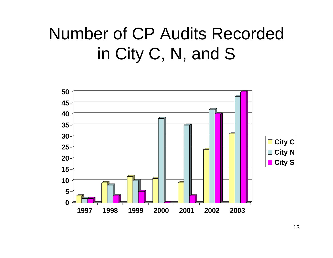## Number of CP Audits Recorded in City C, N, and S

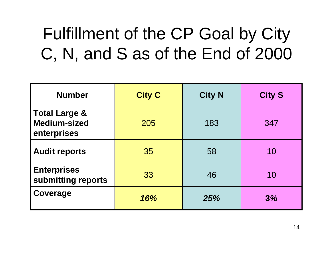# Fulfillment of the CP Goal by City C, N, and S as of the End of 2000

| <b>Number</b>                                                  | <b>City C</b> | <b>City N</b> | <b>City S</b> |
|----------------------------------------------------------------|---------------|---------------|---------------|
| <b>Total Large &amp;</b><br><b>Medium-sized</b><br>enterprises | 205           | 183           | 347           |
| <b>Audit reports</b>                                           | 35            | 58            | 10            |
| <b>Enterprises</b><br>submitting reports                       | 33            | 46            | 10            |
| Coverage                                                       | 16%           | 25%           | 3%            |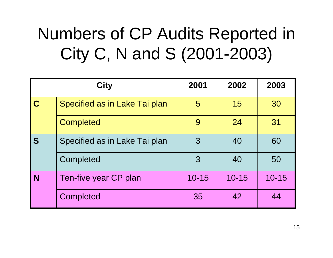# Numbers of CP Audits Reported in City C, N and S (2001-2003)

|             | <b>City</b>                   | 2001      | 2002      | 2003      |
|-------------|-------------------------------|-----------|-----------|-----------|
| $\mathbf C$ | Specified as in Lake Tai plan | 5         | 15        | 30        |
|             | <b>Completed</b>              | 9         | 24        | 31        |
| S           | Specified as in Lake Tai plan | 3         | 40        | 60        |
|             | Completed                     | 3         | 40        | 50        |
| <b>N</b>    | Ten-five year CP plan         | $10 - 15$ | $10 - 15$ | $10 - 15$ |
|             | <b>Completed</b>              | 35        | 42        | 44        |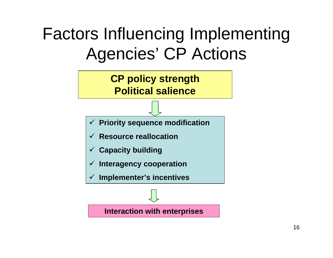## Factors Influencing Implementing Agencies' CP Actions

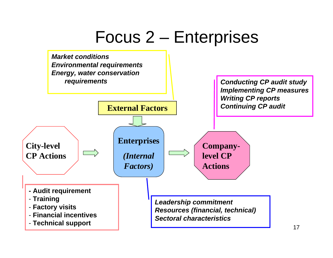#### Focus 2 – Enterprises

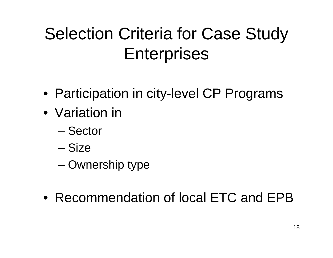# Selection Criteria for Case Study **Enterprises**

- Participation in city-level CP Programs
- •Variation in
	- Sector
	- Siz e
	- –Ownership type
- •Recommendation of local ETC and EPB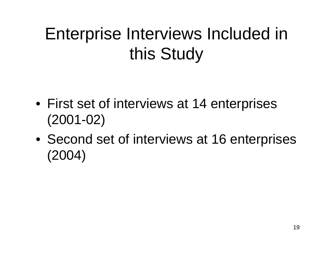# Enterprise Interviews Included in this Study

- First set of interviews at 14 enterprises (2001-02)
- Second set of interviews at 16 enterprises (2004)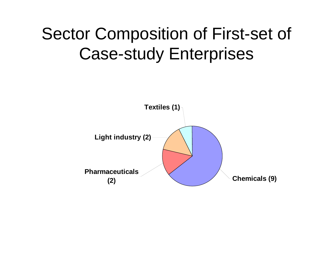#### Sector Composition of First-set of Case-study Enterprises

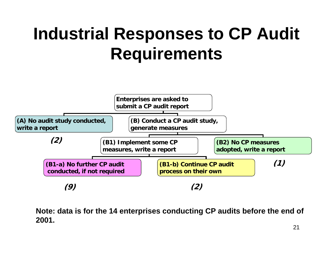# **Industrial Responses to CP Audit Requirements**



**Note: data is for the 14 enterprises conducting CP audits before the end of 2001.**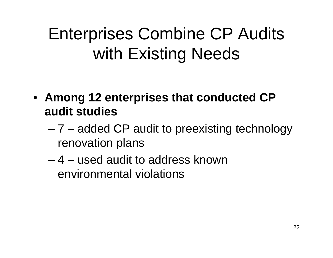# Enterprises Combine CP Audits with Existing Needs

- **Among 12 enterprises that conducted CP audit studies**
	- – 7 – added CP audit to preexisting technology renovation plans
	- $-$  4  $-$  used audit to address known  $\overline{\phantom{a}}$ environmental violations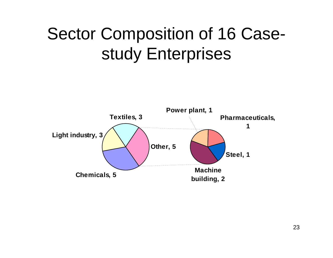## Sector Composition of 16 Casestudy Enterprises

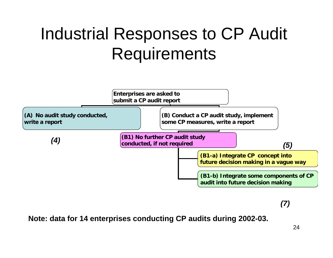## Industrial Responses to CP Audit **Requirements**



*(7)*

**Note: data for 14 enterprises conducting CP audits during 2002-03.**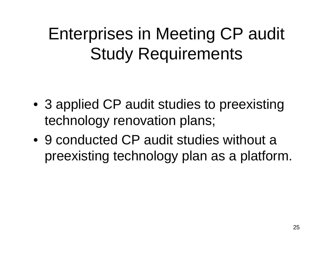Enterprises in Meeting CP audit Study Requirements

- 3 applied CP audit studies to preexisting technology renovation plans;
- •9 conducted CP audit studies without a preexisting technology plan as a platform.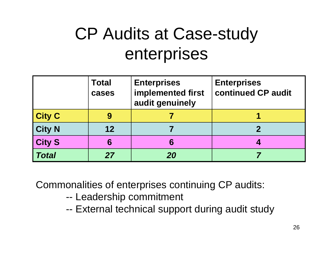## CP Audits at Case-study enterprises

|               | <b>Total</b><br>cases | <b>Enterprises</b><br>implemented first<br>audit genuinely | <b>Enterprises</b><br>continued CP audit |
|---------------|-----------------------|------------------------------------------------------------|------------------------------------------|
| <b>City C</b> |                       |                                                            |                                          |
| <b>City N</b> | $12 \,$               |                                                            |                                          |
| <b>City S</b> | 6                     | 6                                                          |                                          |
| <b>Total</b>  | 27                    | 20                                                         |                                          |

Commonalities of enterprises continuing CP audits:

- --- Leadership commitment
- --External technical support during audit study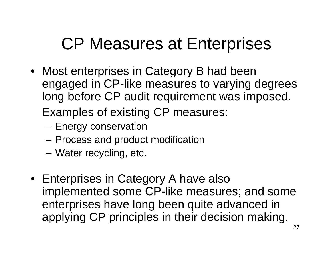#### CP Measures at Enterprises

- Most enterprises in Category B had been engaged in CP-like measures to varying degrees long before CP audit requirement was imposed. Examples of existing CP measures:
	- Energy conservation
	- Process and product modification
	- Water recycling, etc.
- Enterprises in Category A have also implemented some CP-like measures; and some enterprises have long been quite advanced in applying CP principles in their decision making.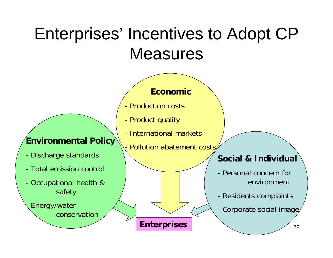#### Enterprises' Incentives to Adopt CP **Measures**

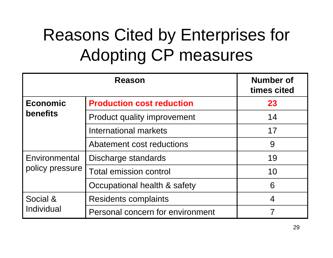# Reasons Cited by Enterprises for Adopting CP measures

|                 | <b>Number of</b><br>times cited    |                          |
|-----------------|------------------------------------|--------------------------|
| <b>Economic</b> | <b>Production cost reduction</b>   | 23                       |
| <b>benefits</b> | <b>Product quality improvement</b> | 14                       |
|                 | International markets              | 17                       |
|                 | Abatement cost reductions          | 9                        |
| Environmental   | Discharge standards                | 19                       |
| policy pressure | <b>Total emission control</b>      | 10                       |
|                 | Occupational health & safety       | 6                        |
| Social &        | Residents complaints               | $\overline{\mathcal{A}}$ |
| Individual      | Personal concern for environment   |                          |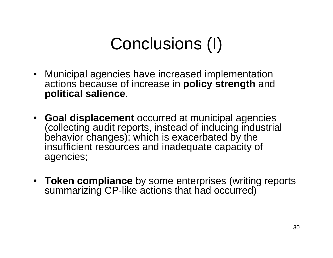# Conclusions (I)

- Municipal agencies have increased implementation actions because of increase in **policy strength** and **political salience**.
- **Goal displacement** occurred at municipal agencies (collecting audit reports, instead of inducing industrial behavior changes); which is exacerbated by the insufficient resources and inadequate capacity of agencies;
- **Token compliance** by some enterprises (writing reports summarizing CP-like actions that had occurred)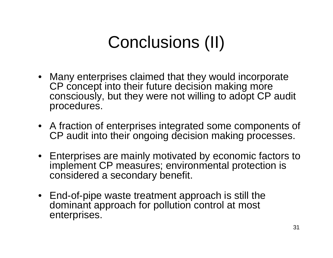# Conclusions (II)

- Many enterprises claimed that they would incorporate CP concept into their future decision making more consciously, but they were not willing to adopt CP audit procedures.
- A fraction of enterprises integrated some components of CP audit into their ongoing decision making processes.
- Enterprises are mainly motivated by economic factors to implement CP measures; environmental protection is considered a secondary benefit.
- End-of-pipe waste treatment approach is still the dominant approach for pollution control at most enterprises.